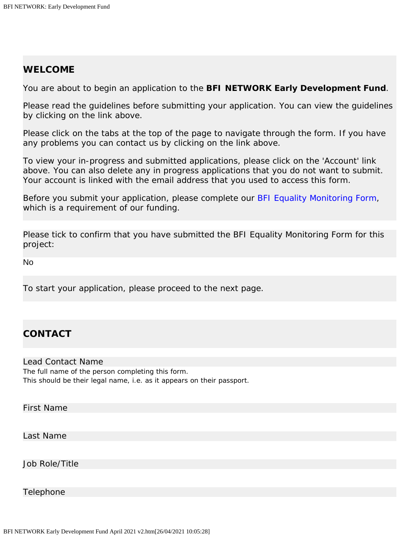### **WELCOME**

You are about to begin an application to the **BFI NETWORK Early Development Fund**.

Please read the guidelines before submitting your application. You can view the guidelines by clicking on the link above.

Please click on the tabs at the top of the page to navigate through the form. If you have any problems you can contact us by clicking on the link above.

To view your in-progress and submitted applications, please click on the 'Account' link above. You can also delete any in progress applications that you do not want to submit. Your account is linked with the email address that you used to access this form.

Before you submit your application, please complete our [BFI Equality Monitoring Form,](https://www.grantrequest.co.uk/SID_106?SA=SNA&FID=35256) which is a requirement of our funding.

Please tick to confirm that you have submitted the BFI Equality Monitoring Form for this project:

No

To start your application, please proceed to the next page.

# **CONTACT**

#### Lead Contact Name The full name of the person completing this form. This should be their legal name, i.e. as it appears on their passport.

First Name

Last Name

Job Role/Title

Telephone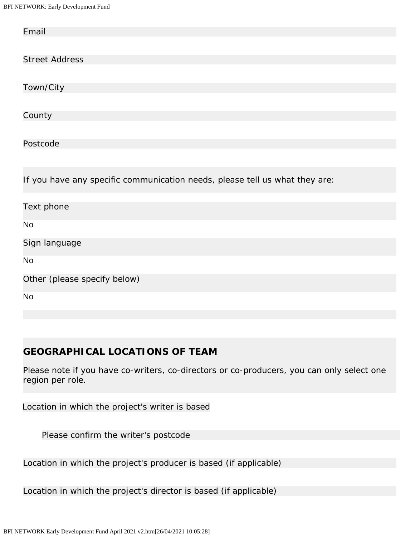BFI NETWORK: Early Development Fund

| Email                                                                       |
|-----------------------------------------------------------------------------|
|                                                                             |
| <b>Street Address</b>                                                       |
|                                                                             |
| Town/City                                                                   |
|                                                                             |
| County                                                                      |
|                                                                             |
| Postcode                                                                    |
|                                                                             |
| If you have any specific communication needs, please tell us what they are: |
|                                                                             |
| Text phone                                                                  |
| <b>No</b>                                                                   |
| Sign language                                                               |
| <b>No</b>                                                                   |
| Other (please specify below)                                                |
| No                                                                          |

# **GEOGRAPHICAL LOCATIONS OF TEAM**

Please note if you have co-writers, co-directors or co-producers, you can only select one region per role.

Location in which the project's writer is based

Please confirm the writer's postcode

Location in which the project's producer is based (if applicable)

Location in which the project's director is based (if applicable)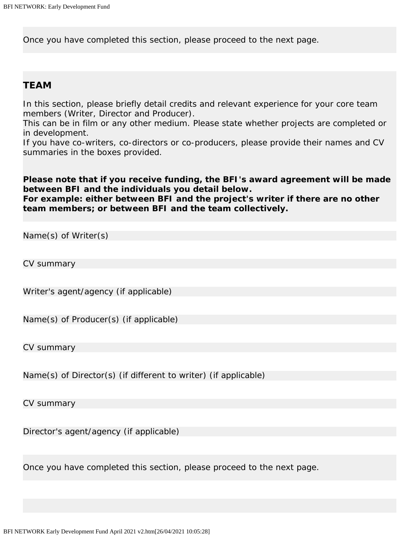Once you have completed this section, please proceed to the next page.

### **TEAM**

In this section, please briefly detail credits and relevant experience for your core team members (Writer, Director and Producer).

This can be in film or any other medium. Please state whether projects are completed or in development.

If you have co-writers, co-directors or co-producers, please provide their names and CV summaries in the boxes provided.

# *Please note that if you receive funding, the BFI's award agreement will be made between BFI and the individuals you detail below.*

*For example: either between BFI and the project's writer if there are no other team members; or between BFI and the team collectively.*

Name(s) of Writer(s)

CV summary

Writer's agent/agency (if applicable)

Name(s) of Producer(s) (if applicable)

CV summary

Name(s) of Director(s) (if different to writer) (if applicable)

CV summary

Director's agent/agency (if applicable)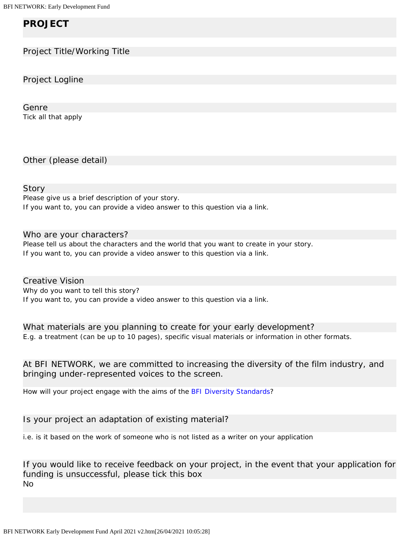# **PROJECT**

### Project Title/Working Title

Project Logline

Genre Tick all that apply

Other (please detail)

#### Story

Please give us a brief description of your story. If you want to, you can provide a video answer to this question via a link.

#### Who are your characters?

Please tell us about the characters and the world that you want to create in your story. If you want to, you can provide a video answer to this question via a link.

Creative Vision Why do you want to tell this story? If you want to, you can provide a video answer to this question via a link.

What materials are you planning to create for your early development? E.g. a treatment (can be up to 10 pages), specific visual materials or information in other formats.

At BFI NETWORK, we are committed to increasing the diversity of the film industry, and bringing under-represented voices to the screen.

How will your project engage with the aims of the [BFI Diversity Standards](http://www.bfi.org.uk/about-bfi/policy-strategy/diversity/diversity-standards)?

Is your project an adaptation of existing material?

i.e. is it based on the work of someone who is *not* listed as a writer on your application

If you would like to receive feedback on your project, in the event that your application for funding is unsuccessful, please tick this box No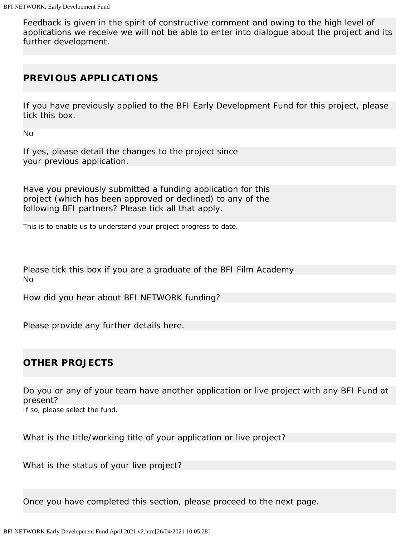Feedback is given in the spirit of constructive comment and owing to the high level of applications we receive we will not be able to enter into dialogue about the project and its further development.

# **PREVIOUS APPLICATIONS**

If you have previously applied to the BFI Early Development Fund for this project, please tick this box.

No

If yes, please detail the changes to the project since your previous application.

Have you previously submitted a funding application for this project (which has been approved or declined) to any of the following BFI partners? Please tick all that apply.

This is to enable us to understand your project progress to date.

Please tick this box if you are a graduate of the BFI Film Academy No

How did you hear about BFI NETWORK funding?

Please provide any further details here.

# **OTHER PROJECTS**

Do you or any of your team have another application or live project with any BFI Fund at present?

If so, please select the fund.

What is the title/working title of your application or live project?

What is the status of your live project?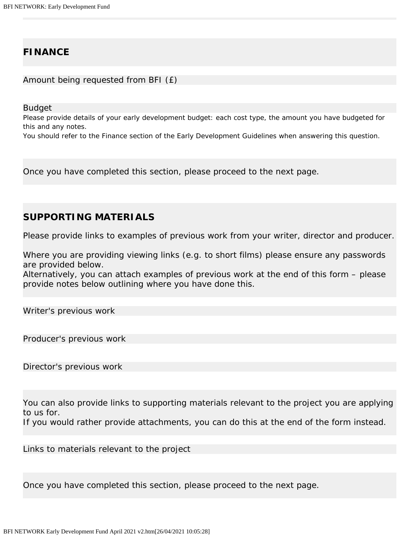### **FINANCE**

Amount being requested from BFI (£)

Budget

Please provide details of your early development budget: each cost type, the amount you have budgeted for this and any notes.

You should refer to the Finance section of the Early Development Guidelines when answering this question.

Once you have completed this section, please proceed to the next page.

### **SUPPORTING MATERIALS**

Please provide links to examples of previous work from your writer, director and producer.

Where you are providing viewing links (e.g. to short films) please ensure any passwords are provided below.

Alternatively, you can attach examples of previous work at the end of this form – please provide notes below outlining where you have done this.

Writer's previous work

Producer's previous work

Director's previous work

You can also provide links to supporting materials relevant to the project you are applying to us for.

If you would rather provide attachments, you can do this at the end of the form instead.

Links to materials relevant to the project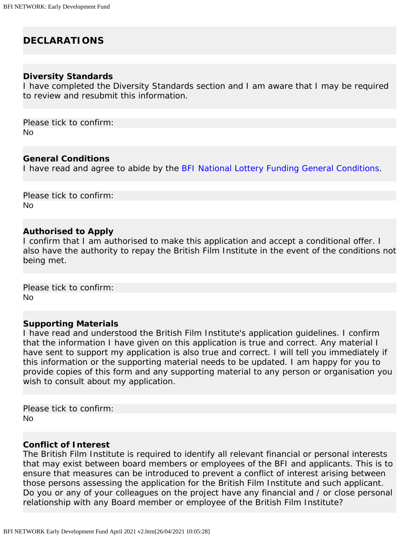# **DECLARATIONS**

### **Diversity Standards**

I have completed the Diversity Standards section and I am aware that I may be required to review and resubmit this information.

Please tick to confirm: No

#### **General Conditions**

I have read and agree to abide by the [BFI National Lottery Funding General Conditions](https://www.bfi.org.uk/sites/bfi.org.uk/files/downloads/bfi-lottery-funding-general-conditions-2019-07.pdf).

Please tick to confirm: No

#### **Authorised to Apply**

I confirm that I am authorised to make this application and accept a conditional offer. I also have the authority to repay the British Film Institute in the event of the conditions not being met.

Please tick to confirm: No

#### **Supporting Materials**

I have read and understood the British Film Institute's application guidelines. I confirm that the information I have given on this application is true and correct. Any material I have sent to support my application is also true and correct. I will tell you immediately if this information or the supporting material needs to be updated. I am happy for you to provide copies of this form and any supporting material to any person or organisation you wish to consult about my application.

Please tick to confirm: No

#### **Conflict of Interest**

The British Film Institute is required to identify all relevant financial or personal interests that may exist between board members or employees of the BFI and applicants. This is to ensure that measures can be introduced to prevent a conflict of interest arising between those persons assessing the application for the British Film Institute and such applicant. Do you or any of your colleagues on the project have any financial and / or close personal relationship with any Board member or employee of the British Film Institute?